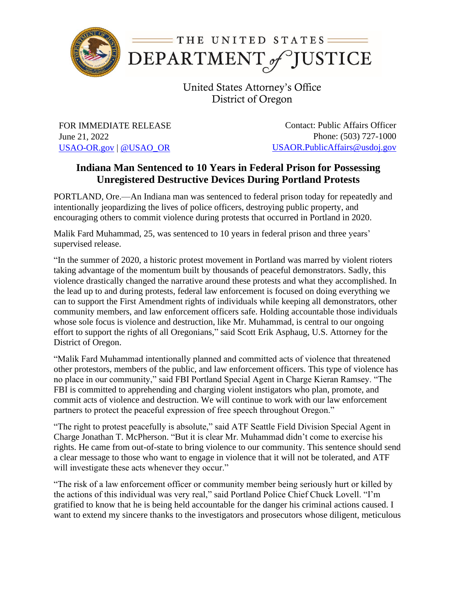

United States Attorney's Office District of Oregon

FOR IMMEDIATE RELEASE June 21, 2022 [USAO-OR.gov](http://www.usdoj.gov/usao/or) | [@USAO\\_OR](https://twitter.com/USAO_OR)

Contact: Public Affairs Officer Phone: (503) 727-1000 [USAOR.PublicAffairs@usdoj.gov](mailto:usaor.publicaffairs@usdoj.gov)

## **Indiana Man Sentenced to 10 Years in Federal Prison for Possessing Unregistered Destructive Devices During Portland Protests**

PORTLAND, Ore.—An Indiana man was sentenced to federal prison today for repeatedly and intentionally jeopardizing the lives of police officers, destroying public property, and encouraging others to commit violence during protests that occurred in Portland in 2020.

Malik Fard Muhammad, 25, was sentenced to 10 years in federal prison and three years' supervised release.

"In the summer of 2020, a historic protest movement in Portland was marred by violent rioters taking advantage of the momentum built by thousands of peaceful demonstrators. Sadly, this violence drastically changed the narrative around these protests and what they accomplished. In the lead up to and during protests, federal law enforcement is focused on doing everything we can to support the First Amendment rights of individuals while keeping all demonstrators, other community members, and law enforcement officers safe. Holding accountable those individuals whose sole focus is violence and destruction, like Mr. Muhammad, is central to our ongoing effort to support the rights of all Oregonians," said Scott Erik Asphaug, U.S. Attorney for the District of Oregon.

"Malik Fard Muhammad intentionally planned and committed acts of violence that threatened other protestors, members of the public, and law enforcement officers. This type of violence has no place in our community," said FBI Portland Special Agent in Charge Kieran Ramsey. "The FBI is committed to apprehending and charging violent instigators who plan, promote, and commit acts of violence and destruction. We will continue to work with our law enforcement partners to protect the peaceful expression of free speech throughout Oregon."

"The right to protest peacefully is absolute," said ATF Seattle Field Division Special Agent in Charge Jonathan T. McPherson. "But it is clear Mr. Muhammad didn't come to exercise his rights. He came from out-of-state to bring violence to our community. This sentence should send a clear message to those who want to engage in violence that it will not be tolerated, and ATF will investigate these acts whenever they occur."

"The risk of a law enforcement officer or community member being seriously hurt or killed by the actions of this individual was very real," said Portland Police Chief Chuck Lovell. "I'm gratified to know that he is being held accountable for the danger his criminal actions caused. I want to extend my sincere thanks to the investigators and prosecutors whose diligent, meticulous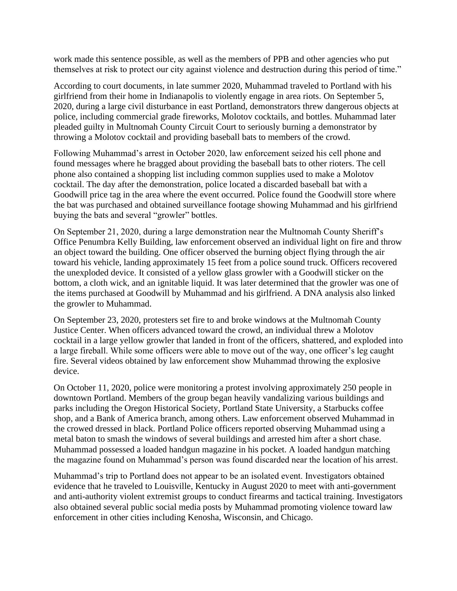work made this sentence possible, as well as the members of PPB and other agencies who put themselves at risk to protect our city against violence and destruction during this period of time."

According to court documents, in late summer 2020, Muhammad traveled to Portland with his girlfriend from their home in Indianapolis to violently engage in area riots. On September 5, 2020, during a large civil disturbance in east Portland, demonstrators threw dangerous objects at police, including commercial grade fireworks, Molotov cocktails, and bottles. Muhammad later pleaded guilty in Multnomah County Circuit Court to seriously burning a demonstrator by throwing a Molotov cocktail and providing baseball bats to members of the crowd.

Following Muhammad's arrest in October 2020, law enforcement seized his cell phone and found messages where he bragged about providing the baseball bats to other rioters. The cell phone also contained a shopping list including common supplies used to make a Molotov cocktail. The day after the demonstration, police located a discarded baseball bat with a Goodwill price tag in the area where the event occurred. Police found the Goodwill store where the bat was purchased and obtained surveillance footage showing Muhammad and his girlfriend buying the bats and several "growler" bottles.

On September 21, 2020, during a large demonstration near the Multnomah County Sheriff's Office Penumbra Kelly Building, law enforcement observed an individual light on fire and throw an object toward the building. One officer observed the burning object flying through the air toward his vehicle, landing approximately 15 feet from a police sound truck. Officers recovered the unexploded device. It consisted of a yellow glass growler with a Goodwill sticker on the bottom, a cloth wick, and an ignitable liquid. It was later determined that the growler was one of the items purchased at Goodwill by Muhammad and his girlfriend. A DNA analysis also linked the growler to Muhammad.

On September 23, 2020, protesters set fire to and broke windows at the Multnomah County Justice Center. When officers advanced toward the crowd, an individual threw a Molotov cocktail in a large yellow growler that landed in front of the officers, shattered, and exploded into a large fireball. While some officers were able to move out of the way, one officer's leg caught fire. Several videos obtained by law enforcement show Muhammad throwing the explosive device.

On October 11, 2020, police were monitoring a protest involving approximately 250 people in downtown Portland. Members of the group began heavily vandalizing various buildings and parks including the Oregon Historical Society, Portland State University, a Starbucks coffee shop, and a Bank of America branch, among others. Law enforcement observed Muhammad in the crowed dressed in black. Portland Police officers reported observing Muhammad using a metal baton to smash the windows of several buildings and arrested him after a short chase. Muhammad possessed a loaded handgun magazine in his pocket. A loaded handgun matching the magazine found on Muhammad's person was found discarded near the location of his arrest.

Muhammad's trip to Portland does not appear to be an isolated event. Investigators obtained evidence that he traveled to Louisville, Kentucky in August 2020 to meet with anti-government and anti-authority violent extremist groups to conduct firearms and tactical training. Investigators also obtained several public social media posts by Muhammad promoting violence toward law enforcement in other cities including Kenosha, Wisconsin, and Chicago.